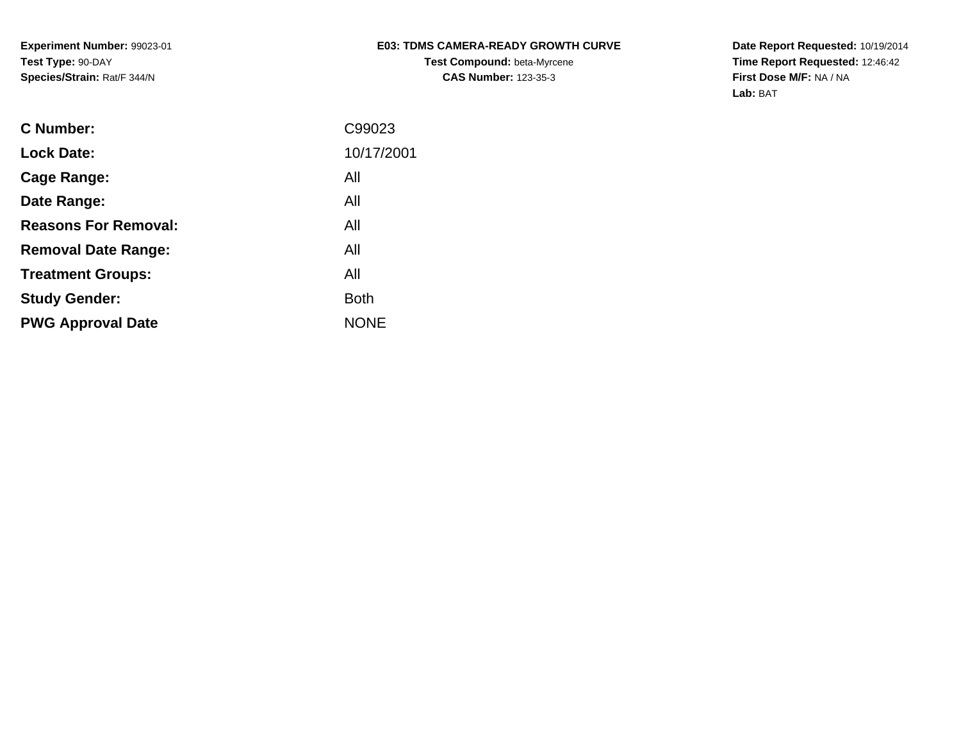## **E03: TDMS CAMERA-READY GROWTH CURVETest Compound:** beta-Myrcene**CAS Number:** 123-35-3

**Date Report Requested:** 10/19/2014 **Time Report Requested:** 12:46:42**First Dose M/F:** NA / NA**Lab:** BAT

| <b>C</b> Number:            | C99023      |
|-----------------------------|-------------|
| <b>Lock Date:</b>           | 10/17/2001  |
| Cage Range:                 | All         |
| Date Range:                 | All         |
| <b>Reasons For Removal:</b> | All         |
| <b>Removal Date Range:</b>  | All         |
| <b>Treatment Groups:</b>    | All         |
| <b>Study Gender:</b>        | <b>Both</b> |
| <b>PWG Approval Date</b>    | <b>NONE</b> |
|                             |             |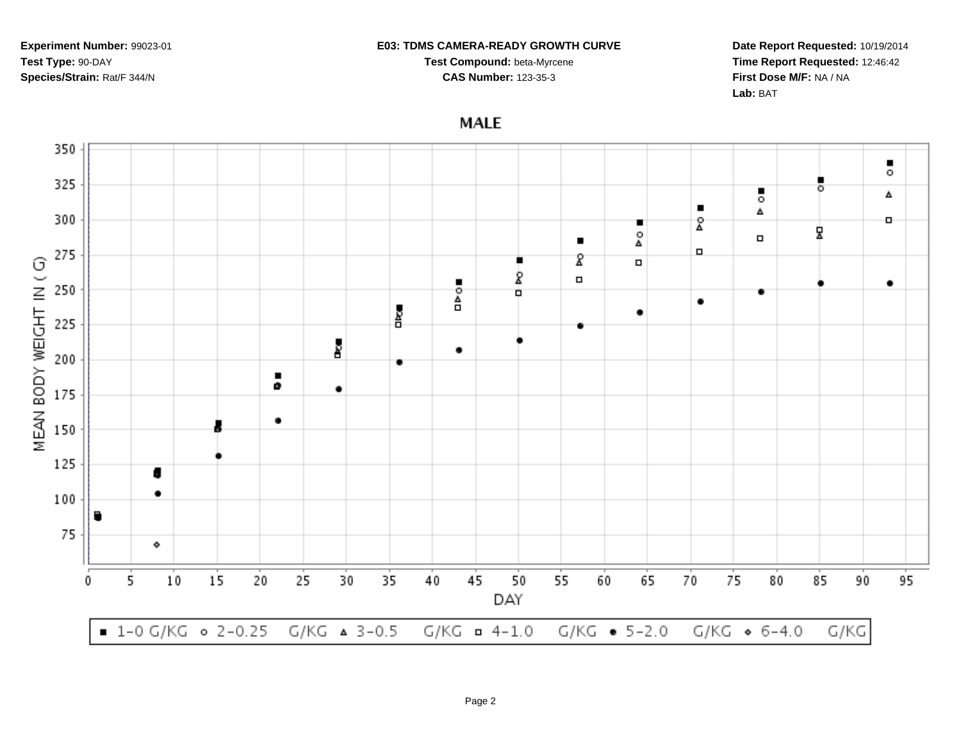#### **E03: TDMS CAMERA-READY GROWTH CURVE**

**Test Compound:** beta-Myrcene**CAS Number:** 123-35-3

**Date Report Requested:** 10/19/2014**Time Report Requested:** 12:46:42**First Dose M/F:** NA / NA**Lab:** BAT

# **MALE**

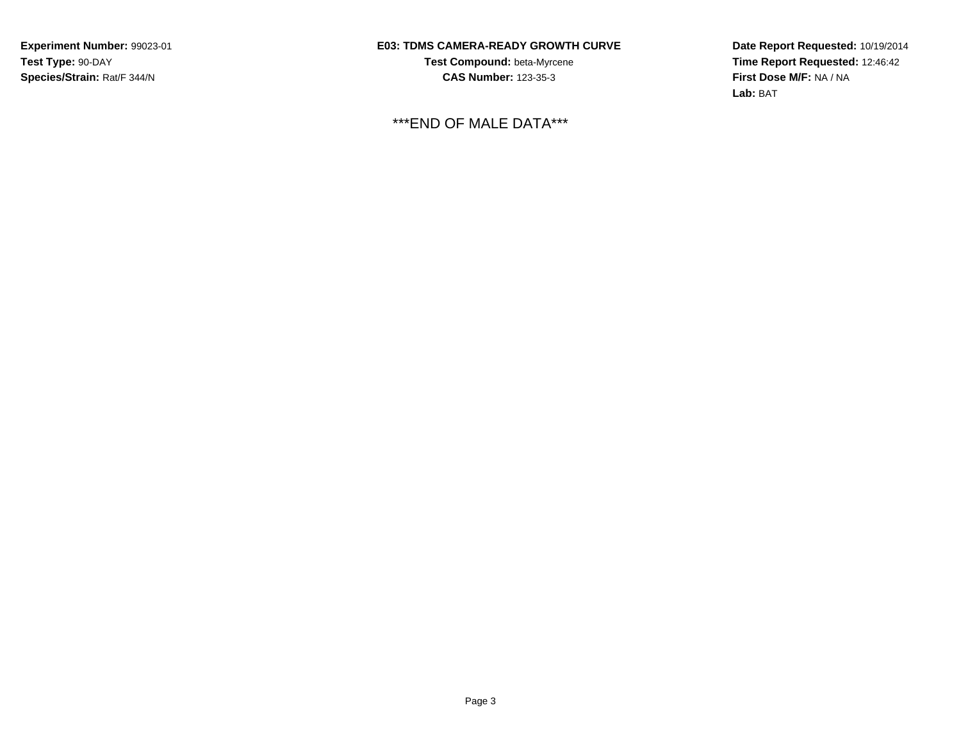## **E03: TDMS CAMERA-READY GROWTH CURVE**

**Test Compound:** beta-Myrcene**CAS Number:** 123-35-3

\*\*\*END OF MALE DATA\*\*\*

**Date Report Requested:** 10/19/2014 **Time Report Requested:** 12:46:42**First Dose M/F:** NA / NA**Lab:** BAT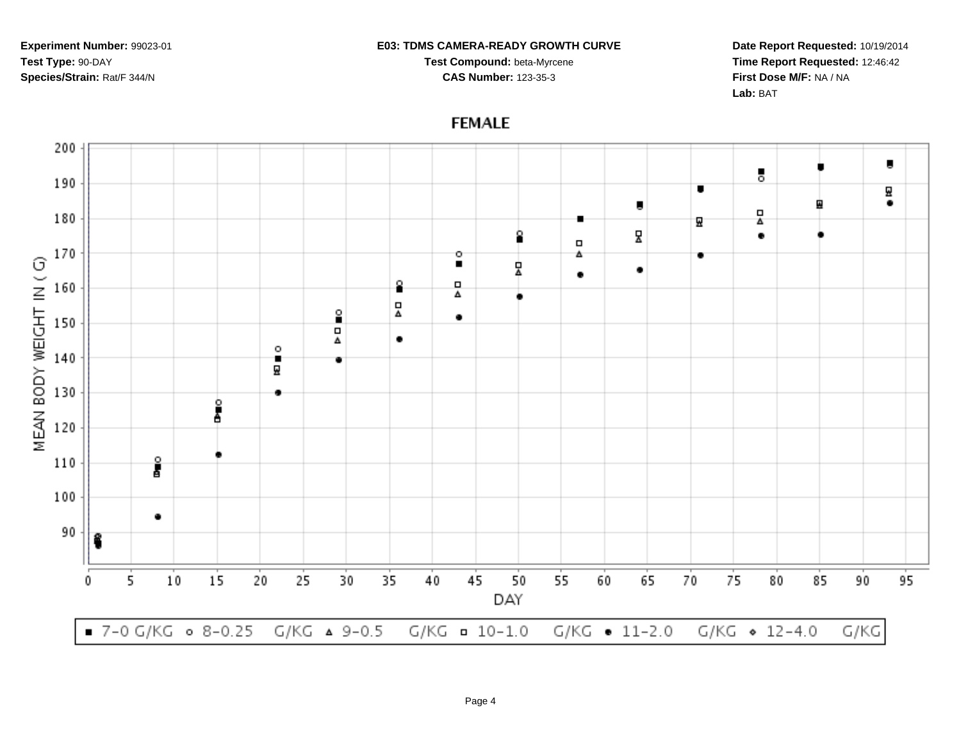### **E03: TDMS CAMERA-READY GROWTH CURVE**

**Test Compound:** beta-Myrcene**CAS Number:** 123-35-3

**Date Report Requested:** 10/19/2014**Time Report Requested:** 12:46:42**First Dose M/F:** NA / NA**Lab:** BAT

 $\blacksquare$ 

딮

٠

95

#### 200 ō 190  $\blacksquare$ ₫ Б 묘 180 м 모 2  $\bullet$  $\Box$ 170 o 4 ۰ MEAN BODY WEIGHT IN (G)  $\blacksquare$ 모 ٠ ٠ 8  $\Box$ 160 Δ 묘 º ٠ 150  $\Box$  $\bullet$ Δ  $\circ$ 140 ٠ 딮 130 è<br>è 120 å 110 100 ٠ 90 5 10 15 20 25 30 35 40 45 50 55 60 65 70 75 80 85 90 0 DAY

**FEMALE**